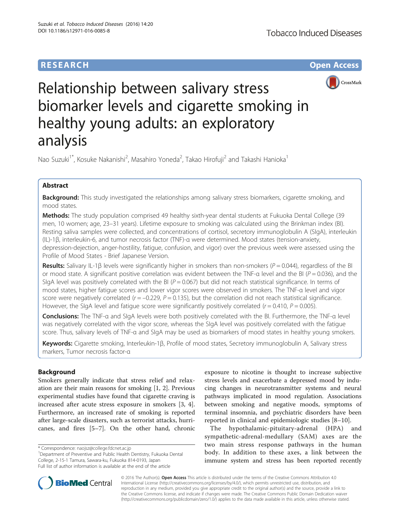# **RESEARCH CHE Open Access**



# Relationship between salivary stress biomarker levels and cigarette smoking in healthy young adults: an exploratory analysis

Nao Suzuki<sup>1\*</sup>, Kosuke Nakanishi<sup>2</sup>, Masahiro Yoneda<sup>2</sup>, Takao Hirofuji<sup>2</sup> and Takashi Hanioka<sup>1</sup>

# Abstract

Background: This study investigated the relationships among salivary stress biomarkers, cigarette smoking, and mood states.

Methods: The study population comprised 49 healthy sixth-year dental students at Fukuoka Dental College (39 men, 10 women; age, 23–31 years). Lifetime exposure to smoking was calculated using the Brinkman index (BI). Resting saliva samples were collected, and concentrations of cortisol, secretory immunoglobulin A (SIgA), interleukin (IL)-1β, interleukin-6, and tumor necrosis factor (TNF)-α were determined. Mood states (tension-anxiety, depression-dejection, anger-hostility, fatigue, confusion, and vigor) over the previous week were assessed using the Profile of Mood States - Brief Japanese Version.

Results: Salivary IL-1 $\beta$  levels were significantly higher in smokers than non-smokers ( $P = 0.044$ ), regardless of the BI or mood state. A significant positive correlation was evident between the TNF- $\alpha$  level and the BI ( $P = 0.036$ ), and the SIgA level was positively correlated with the BI ( $P = 0.067$ ) but did not reach statistical significance. In terms of mood states, higher fatigue scores and lower vigor scores were observed in smokers. The TNF-α level and vigor score were negatively correlated ( $r = -0.229$ ,  $P = 0.135$ ), but the correlation did not reach statistical significance. However, the SIgA level and fatigue score were significantly positively correlated ( $r = 0.410$ ,  $P = 0.005$ ).

Conclusions: The TNF-α and SIgA levels were both positively correlated with the BI. Furthermore, the TNF-α level was negatively correlated with the vigor score, whereas the SIgA level was positively correlated with the fatigue score. Thus, salivary levels of TNF-α and SIgA may be used as biomarkers of mood states in healthy young smokers.

Keywords: Cigarette smoking, Interleukin-1β, Profile of mood states, Secretory immunoglobulin A, Salivary stress markers, Tumor necrosis factor-α

# Background

Smokers generally indicate that stress relief and relaxation are their main reasons for smoking [[1, 2](#page-5-0)]. Previous experimental studies have found that cigarette craving is increased after acute stress exposure in smokers [\[3, 4](#page-5-0)]. Furthermore, an increased rate of smoking is reported after large-scale disasters, such as terrorist attacks, hurricanes, and fires [\[5](#page-5-0)–[7\]](#page-5-0). On the other hand, chronic

Department of Preventive and Public Health Dentistry, Fukuoka Dental College, 2-15-1 Tamura, Sawara-ku, Fukuoka 814-0193, Japan Full list of author information is available at the end of the article

exposure to nicotine is thought to increase subjective stress levels and exacerbate a depressed mood by inducing changes in neurotransmitter systems and neural pathways implicated in mood regulation. Associations between smoking and negative moods, symptoms of terminal insomnia, and psychiatric disorders have been reported in clinical and epidemiologic studies [\[8](#page-5-0)–[10](#page-5-0)].

The hypothalamic-pituitary-adrenal (HPA) and sympathetic-adrenal-medullary (SAM) axes are the two main stress response pathways in the human body. In addition to these axes, a link between the immune system and stress has been reported recently



© 2016 The Author(s). Open Access This article is distributed under the terms of the Creative Commons Attribution 4.0 International License [\(http://creativecommons.org/licenses/by/4.0/](http://creativecommons.org/licenses/by/4.0/)), which permits unrestricted use, distribution, and reproduction in any medium, provided you give appropriate credit to the original author(s) and the source, provide a link to the Creative Commons license, and indicate if changes were made. The Creative Commons Public Domain Dedication waiver [\(http://creativecommons.org/publicdomain/zero/1.0/](http://creativecommons.org/publicdomain/zero/1.0/)) applies to the data made available in this article, unless otherwise stated.

<sup>\*</sup> Correspondence: [naojsz@college.fdcnet.ac.jp](mailto:naojsz@college.fdcnet.ac.jp) <sup>1</sup>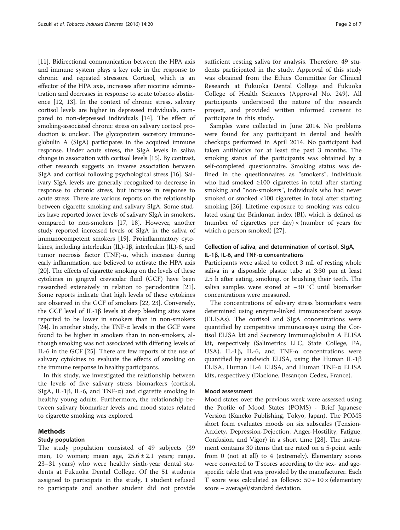[[11](#page-5-0)]. Bidirectional communication between the HPA axis and immune system plays a key role in the response to chronic and repeated stressors. Cortisol, which is an effector of the HPA axis, increases after nicotine administration and decreases in response to acute tobacco abstinence [[12](#page-5-0), [13\]](#page-5-0). In the context of chronic stress, salivary cortisol levels are higher in depressed individuals, compared to non-depressed individuals [[14](#page-5-0)]. The effect of smoking-associated chronic stress on salivary cortisol production is unclear. The glycoprotein secretory immunoglobulin A (SIgA) participates in the acquired immune response. Under acute stress, the SIgA levels in saliva change in association with cortisol levels [\[15\]](#page-5-0). By contrast, other research suggests an inverse association between SIgA and cortisol following psychological stress [\[16\]](#page-5-0). Salivary SIgA levels are generally recognized to decrease in response to chronic stress, but increase in response to acute stress. There are various reports on the relationship between cigarette smoking and salivary SIgA. Some studies have reported lower levels of salivary SIgA in smokers, compared to non-smokers [\[17, 18](#page-5-0)]. However, another study reported increased levels of SIgA in the saliva of immunocompetent smokers [[19](#page-5-0)]. Proinflammatory cytokines, including interleukin (IL)-1β, interleukin (IL)-6, and tumor necrosis factor (TNF)-α, which increase during early inflammation, are believed to activate the HPA axis [[20](#page-5-0)]. The effects of cigarette smoking on the levels of these cytokines in gingival crevicular fluid (GCF) have been researched extensively in relation to periodontitis [[21](#page-5-0)]. Some reports indicate that high levels of these cytokines are observed in the GCF of smokers [\[22, 23\]](#page-5-0). Conversely, the GCF level of IL-1β levels at deep bleeding sites were reported to be lower in smokers than in non-smokers [[24](#page-5-0)]. In another study, the TNF- $\alpha$  levels in the GCF were found to be higher in smokers than in non-smokers, although smoking was not associated with differing levels of IL-6 in the GCF [\[25\]](#page-5-0). There are few reports of the use of salivary cytokines to evaluate the effects of smoking on the immune response in healthy participants.

In this study, we investigated the relationship between the levels of five salivary stress biomarkers (cortisol, SIgA, IL-1 $\beta$ , IL-6, and TNF- $\alpha$ ) and cigarette smoking in healthy young adults. Furthermore, the relationship between salivary biomarker levels and mood states related to cigarette smoking was explored.

# Methods

#### Study population

The study population consisted of 49 subjects (39 men, 10 women; mean age, 25.6 ± 2.1 years; range, 23–31 years) who were healthy sixth-year dental students at Fukuoka Dental College. Of the 51 students assigned to participate in the study, 1 student refused to participate and another student did not provide sufficient resting saliva for analysis. Therefore, 49 students participated in the study. Approval of this study was obtained from the Ethics Committee for Clinical Research at Fukuoka Dental College and Fukuoka College of Health Sciences (Approval No. 249). All participants understood the nature of the research project, and provided written informed consent to participate in this study.

Samples were collected in June 2014. No problems were found for any participant in dental and health checkups performed in April 2014. No participant had taken antibiotics for at least the past 3 months. The smoking status of the participants was obtained by a self-completed questionnaire. Smoking status was defined in the questionnaires as "smokers", individuals who had smoked ≥100 cigarettes in total after starting smoking and "non-smokers", individuals who had never smoked or smoked <100 cigarettes in total after starting smoking [[26](#page-5-0)]. Lifetime exposure to smoking was calculated using the Brinkman index (BI), which is defined as (number of cigarettes per day)  $\times$  (number of years for which a person smoked) [[27\]](#page-5-0).

# Collection of saliva, and determination of cortisol, SIgA, IL-1β, IL-6, and TNF-α concentrations

Participants were asked to collect 3 mL of resting whole saliva in a disposable plastic tube at 3:30 pm at least 2.5 h after eating, smoking, or brushing their teeth. The saliva samples were stored at –30 °C until biomarker concentrations were measured.

The concentrations of salivary stress biomarkers were determined using enzyme-linked immunosorbent assays (ELISAs). The cortisol and SIgA concentrations were quantified by competitive immunoassays using the Cortisol ELISA kit and Secretory Immunoglobulin A ELISA kit, respectively (Salimetrics LLC, State College, PA, USA). IL-1β, IL-6, and TNF-α concentrations were quantified by sandwich ELISA, using the Human IL-1β ELISA, Human IL-6 ELISA, and Human TNF-α ELISA kits, respectively (Diaclone, Besançon Cedex, France).

#### Mood assessment

Mood states over the previous week were assessed using the Profile of Mood States (POMS) - Brief Japanese Version (Kaneko Publishing, Tokyo, Japan). The POMS short form evaluates moods on six subscales (Tension-Anxiety, Depression-Dejection, Anger-Hostility, Fatigue, Confusion, and Vigor) in a short time [\[28\]](#page-5-0). The instrument contains 30 items that are rated on a 5-point scale from 0 (not at all) to 4 (extremely). Elementary scores were converted to T scores according to the sex- and agespecific table that was provided by the manufacturer. Each T score was calculated as follows:  $50 + 10 \times$  (elementary score – average)/standard deviation.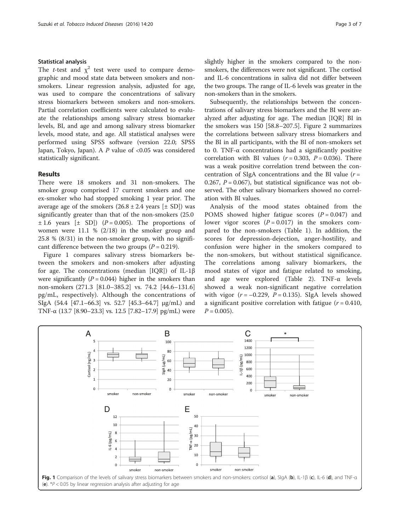### Statistical analysis

The *t*-test and  $\chi^2$  test were used to compare demographic and mood state data between smokers and nonsmokers. Linear regression analysis, adjusted for age, was used to compare the concentrations of salivary stress biomarkers between smokers and non-smokers. Partial correlation coefficients were calculated to evaluate the relationships among salivary stress biomarker levels, BI, and age and among salivary stress biomarker levels, mood state, and age. All statistical analyses were performed using SPSS software (version 22.0; SPSS Japan, Tokyo, Japan). A  $P$  value of <0.05 was considered statistically significant.

#### Results

There were 18 smokers and 31 non-smokers. The smoker group comprised 17 current smokers and one ex-smoker who had stopped smoking 1 year prior. The average age of the smokers  $(26.8 \pm 2.4 \text{ years } [\pm \text{ SD}])$  was significantly greater than that of the non-smokers (25.0  $\pm$  1.6 years  $[\pm$  SD]) (P = 0.005). The proportions of women were 11.1 % (2/18) in the smoker group and 25.8 % (8/31) in the non-smoker group, with no significant difference between the two groups ( $P = 0.219$ ).

Figure 1 compares salivary stress biomarkers between the smokers and non-smokers after adjusting for age. The concentrations (median [IQR]) of IL-1β were significantly  $(P = 0.044)$  higher in the smokers than non-smokers (271.3 [81.0–385.2] vs. 74.2 [44.6–131.6] pg/mL, respectively). Although the concentrations of SIgA (54.4 [47.1–66.3] vs. 52.7 [45.3–64.7] μg/mL) and TNF-α (13.7 [8.90–23.3] vs. 12.5 [7.82–17.9] pg/mL) were slightly higher in the smokers compared to the nonsmokers, the differences were not significant. The cortisol and IL-6 concentrations in saliva did not differ between the two groups. The range of IL-6 levels was greater in the non-smokers than in the smokers.

Subsequently, the relationships between the concentrations of salivary stress biomarkers and the BI were analyzed after adjusting for age. The median [IQR] BI in the smokers was 150 [58.8–207.5]. Figure [2](#page-3-0) summarizes the correlations between salivary stress biomarkers and the BI in all participants, with the BI of non-smokers set to 0. TNF-α concentrations had a significantly positive correlation with BI values  $(r = 0.303, P = 0.036)$ . There was a weak positive correlation trend between the concentration of SIgA concentrations and the BI value  $(r =$ 0.267,  $P = 0.067$ ), but statistical significance was not observed. The other salivary biomarkers showed no correlation with BI values.

Analysis of the mood states obtained from the POMS showed higher fatigue scores  $(P = 0.047)$  and lower vigor scores  $(P = 0.017)$  in the smokers compared to the non-smokers (Table [1\)](#page-3-0). In addition, the scores for depression-dejection, anger-hostility, and confusion were higher in the smokers compared to the non-smokers, but without statistical significance. The correlations among salivary biomarkers, the mood states of vigor and fatigue related to smoking, and age were explored (Table [2](#page-3-0)). TNF-α levels showed a weak non-significant negative correlation with vigor  $(r = -0.229, P = 0.135)$ . SIgA levels showed a significant positive correlation with fatigue  $(r = 0.410,$  $P = 0.005$ ).

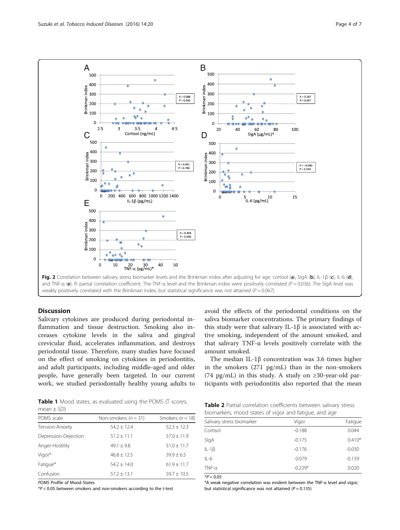<span id="page-3-0"></span>

# **Discussion**

Salivary cytokines are produced during periodontal inflammation and tissue destruction. Smoking also increases cytokine levels in the saliva and gingival crevicular fluid, accelerates inflammation, and destroys periodontal tissue. Therefore, many studies have focused on the effect of smoking on cytokines in periodontitis, and adult participants, including middle-aged and older people, have generally been targeted. In our current work, we studied periodontally healthy young adults to avoid the effects of the periodontal conditions on the saliva biomarker concentrations. The primary findings of this study were that salivary IL-1β is associated with active smoking, independent of the amount smoked, and that salivary TNF-α levels positively correlate with the amount smoked.

The median IL-1β concentration was 3.6 times higher in the smokers (271 pg/mL) than in the non-smokers (74 pg/mL) in this study. A study on  $\geq$ 30-year-old participants with periodontitis also reported that the mean

Table 1 Mood states, as evaluated using the POMS (T scores, mean  $\pm$  SD)

| POMS scale           | Non-smokers $(n = 31)$ | Smokers ( $n = 18$ ) |
|----------------------|------------------------|----------------------|
| Tension-Anxiety      | $54.2 \pm 12.4$        | $52.3 \pm 12.3$      |
| Depression-Dejection | $51.2 \pm 11.1$        | $57.0 \pm 11.9$      |
| Anger-Hostility      | $49.1 + 9.8$           | $51.0 + 11.7$        |
| Vigor*               | $46.8 + 12.5$          | $39.9 + 6.5$         |
| Fatigue*             | $54.2 + 14.0$          | $61.9 \pm 11.7$      |
| Confusion            | $57.2 + 13.1$          | $59.7 + 10.5$        |
|                      |                        |                      |

POMS Profile of Mood States

 $*P$  < 0.05 between smokers and non-smokers according to the t-test

Table 2 Partial correlation coefficients between salivary stress biomarkers, mood states of vigor and fatigue, and age

| Salivary stress biomarker | Vigor                 | Fatigue  |
|---------------------------|-----------------------|----------|
| Cortisol                  | $-0.188$              | 0.044    |
| SlgA                      | $-0.175$              | $0.410*$ |
| $IL-1\beta$               | $-0.176$              | $-0.030$ |
| $IL-6$                    | 0.079                 | $-0.139$ |
| $TNF-\alpha$              | $-0.229$ <sup>a</sup> | 0.020    |
|                           |                       |          |

 $*P < 0.05$ 

<sup>a</sup>A weak negative correlation was evident between the TNF-α level and vigor, but statistical significance was not attained ( $P = 0.135$ )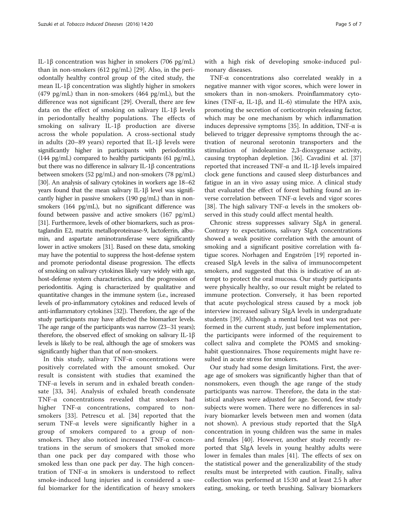IL-1β concentration was higher in smokers (706 pg/mL) than in non-smokers (612 pg/mL) [[29](#page-5-0)]. Also, in the periodontally healthy control group of the cited study, the mean IL-1β concentration was slightly higher in smokers (479 pg/mL) than in non-smokers (464 pg/mL), but the difference was not significant [\[29](#page-5-0)]. Overall, there are few data on the effect of smoking on salivary IL-1β levels in periodontally healthy populations. The effects of smoking on salivary IL-1β production are diverse across the whole population. A cross-sectional study in adults (20–89 years) reported that IL-1β levels were significantly higher in participants with periodontitis (144 pg/mL) compared to healthy participants (61 pg/mL), but there was no difference in salivary IL-1β concentrations between smokers (52 pg/mL) and non-smokers (78 pg/mL) [[30](#page-5-0)]. An analysis of salivary cytokines in workers age 18–62 years found that the mean salivary IL-1β level was significantly higher in passive smokers (190 pg/mL) than in nonsmokers (164 pg/mL), but no significant difference was found between passive and active smokers (167 pg/mL) [[31](#page-5-0)]. Furthermore, levels of other biomarkers, such as prostaglandin E2, matrix metalloproteinase-9, lactoferrin, albumin, and aspartate aminotransferase were significantly lower in active smokers [\[31](#page-5-0)]. Based on these data, smoking may have the potential to suppress the host-defense system and promote periodontal disease progression. The effects of smoking on salivary cytokines likely vary widely with age, host-defense system characteristics, and the progression of periodontitis. Aging is characterized by qualitative and quantitative changes in the immune system (i.e., increased levels of pro-inflammatory cytokines and reduced levels of anti-inflammatory cytokines [[32](#page-6-0)]). Therefore, the age of the study participants may have affected the biomarker levels. The age range of the participants was narrow (23–31 years); therefore, the observed effect of smoking on salivary IL-1β levels is likely to be real, although the age of smokers was significantly higher than that of non-smokers.

In this study, salivary TNF-α concentrations were positively correlated with the amount smoked. Our result is consistent with studies that examined the TNF-α levels in serum and in exhaled breath condensate [[33, 34](#page-6-0)]. Analysis of exhaled breath condensate TNF-α concentrations revealed that smokers had higher TNF-α concentrations, compared to nonsmokers [\[33](#page-6-0)]. Petrescu et al. [[34\]](#page-6-0) reported that the serum TNF-α levels were significantly higher in a group of smokers compared to a group of nonsmokers. They also noticed increased TNF- $\alpha$  concentrations in the serum of smokers that smoked more than one pack per day compared with those who smoked less than one pack per day. The high concentration of TNF-α in smokers is understood to reflect smoke-induced lung injuries and is considered a useful biomarker for the identification of heavy smokers with a high risk of developing smoke-induced pulmonary diseases.

TNF-α concentrations also correlated weakly in a negative manner with vigor scores, which were lower in smokers than in non-smokers. Proinflammatory cytokines (TNF-α, IL-1β, and IL-6) stimulate the HPA axis, promoting the secretion of corticotropin releasing factor, which may be one mechanism by which inflammation induces depressive symptoms [\[35](#page-6-0)]. In addition, TNF- $\alpha$  is believed to trigger depressive symptoms through the activation of neuronal serotonin transporters and the stimulation of indoleamine 2,3-dioxygenase activity, causing tryptophan depletion. [\[36\]](#page-6-0). Cavadini et al. [[37](#page-6-0)] reported that increased TNF-α and IL-1β levels impaired clock gene functions and caused sleep disturbances and fatigue in an in vivo assay using mice. A clinical study that evaluated the effect of forest bathing found an inverse correlation between TNF-α levels and vigor scores [[38\]](#page-6-0). The high salivary TNF- $\alpha$  levels in the smokers observed in this study could affect mental health.

Chronic stress suppresses salivary SIgA in general. Contrary to expectations, salivary SIgA concentrations showed a weak positive correlation with the amount of smoking and a significant positive correlation with fatigue scores. Norhagen and Engström [[19\]](#page-5-0) reported increased SIgA levels in the saliva of immunocompetent smokers, and suggested that this is indicative of an attempt to protect the oral mucosa. Our study participants were physically healthy, so our result might be related to immune protection. Conversely, it has been reported that acute psychological stress caused by a mock job interview increased salivary SIgA levels in undergraduate students [[39\]](#page-6-0). Although a mental load test was not performed in the current study, just before implementation, the participants were informed of the requirement to collect saliva and complete the POMS and smokinghabit questionnaires. Those requirements might have resulted in acute stress for smokers.

Our study had some design limitations. First, the average age of smokers was significantly higher than that of nonsmokers, even though the age range of the study participants was narrow. Therefore, the data in the statistical analyses were adjusted for age. Second, few study subjects were women. There were no differences in salivary biomarker levels between men and women (data not shown). A previous study reported that the SIgA concentration in young children was the same in males and females [\[40](#page-6-0)]. However, another study recently reported that SIgA levels in young healthy adults were lower in females than males [\[41\]](#page-6-0). The effects of sex on the statistical power and the generalizability of the study results must be interpreted with caution. Finally, saliva collection was performed at 15:30 and at least 2.5 h after eating, smoking, or teeth brushing. Salivary biomarkers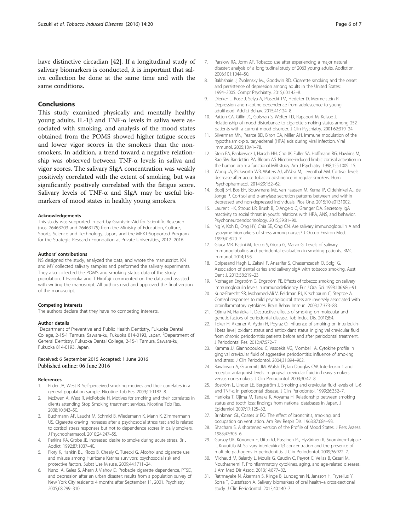<span id="page-5-0"></span>have distinctive circadian [\[42\]](#page-6-0). If a longitudinal study of salivary biomarkers is conducted, it is important that saliva collection be done at the same time and with the same conditions.

### Conclusions

This study examined physically and mentally healthy young adults. IL-1β and TNF-α levels in saliva were associated with smoking, and analysis of the mood states obtained from the POMS showed higher fatigue scores and lower vigor scores in the smokers than the nonsmokers. In addition, a trend toward a negative relationship was observed between TNF-α levels in saliva and vigor scores. The salivary SIgA concentration was weakly positively correlated with the extent of smoking, but was significantly positively correlated with the fatigue score. Salivary levels of TNF-α and SIgA may be useful biomarkers of mood states in healthy young smokers.

#### Acknowledgements

This study was supported in part by Grants-in-Aid for Scientific Research (nos. 26463203 and 26463175) from the Ministry of Education, Culture, Sports, Science and Technology, Japan, and the MEXT-Supported Program for the Strategic Research Foundation at Private Universities, 2012–2016.

#### Authors' contributions

NS designed the study, analyzed the data, and wrote the manuscript. KN and MY collected salivary samples and performed the salivary experiments. They also collected the POMS and smoking status data of the study population. T Hanioka and T Hirofuji commented on the data and assisted with writing the manuscript. All authors read and approved the final version of the manuscript.

#### Competing interests

The authors declare that they have no competing interests.

#### Author details

<sup>1</sup>Department of Preventive and Public Health Dentistry, Fukuoka Dental College, 2-15-1 Tamura, Sawara-ku, Fukuoka 814-0193, Japan. <sup>2</sup>Department of General Dentistry, Fukuoka Dental College, 2-15-1 Tamura, Sawara-ku, Fukuoka 814-0193, Japan.

# Received: 6 September 2015 Accepted: 1 June 2016

#### References

- 1. Filder JA, West R. Self-perceived smoking motives and their correlates in a general population sample. Nicotine Tob Res. 2009;11:1182–8.
- McEwen A, West R, McRobbie H. Motives for smoking and their correlates in clients attending Stop Smoking treatment services. Nicotine Tob Res. 2008;10:843–50.
- 3. Buchmann AF, Laucht M, Schmid B, Wiedemann K, Mann K, Zimmermann US. Cigarette craving increases after a psychosocial stress test and is related to cortisol stress responses but not to dependence scores in daily smokers. J Psychopharmacol. 2010;24:247–55.
- 4. Perkins KA, Grobe JE. Increased desire to smoke during acute stress. Br J Addict. 1992;87:1037–40.
- 5. Flory K, Hankin BL, Kloos B, Cheely C, Turecki G. Alcohol and cigarette use and misuse among Hurricane Katrina survivors: psychosocial risk and protective factors. Subst Use Misuse. 2009;44:1711–24.
- Nandi A, Galea S, Ahern J, Vlahov D. Probable cigarette dependence, PTSD, and depression after an urban disaster: results from a population survey of New York City residents 4 months after September 11, 2001. Psychiatry. 2005;68:299–310.
- 8. Bakhshaie J, Zvolensky MJ, Goodwin RD. Cigarette smoking and the onset and persistence of depression among adults in the United States: 1994–2005. Compr Psychiatry. 2015;60:142–8.
- 9. Dierker L, Rose J, Selya A, Piasecki TM, Hedeker D, Mermelstein R. Depression and nicotine dependence from adolescence to young adulthood. Addict Behav. 2015;41:124–8.
- 10. Patten CA, Gillin JC, Golshan S, Wolter TD, Rapaport M, Kelsoe J. Relationship of mood disturbance to cigarette smoking status among 252 patients with a current mood disorder. J Clin Psychiatry. 2001;62:319–24.
- 11. Silverman MN, Pearce BD, Biron CA, Miller AH. Immune modulation of the hypothalamic-pituitary-adrenal (HPA) axis during viral infection. Viral Immunol. 2005;18:41–78.
- 12. Stein EA, Pankiewicz J, Harsch HH, Cho JK, Fuller SA, Hoffmann RG, Hawkins M, Rao SM, Bandettini PA, Bloom AS. Nicotine-induced limbic cortisol activation in the human brain: a functional MRI study. Am J Psychiatry. 1998;155:1009–15.
- 13. Wong JA, Pickworth WB, Waters AJ, al'Absi M, Leventhal AM. Cortisol levels decrease after acute tobacco abstinence in regular smokers. Hum Psychopharmacol. 2014;29:152–62.
- 14. Booij SH, Bos EH, Bouwmans ME, van Faassen M, Kema IP, Oldehinkel AJ, de Jonge P. Cortisol and α-amylase secretion patterns between and within depressed and non-depressed individuals. Plos One. 2015;10:e0131002.
- 15. Laurent HK, Stroud LR, Brush B, D'Angelo C, Granger DA. Secretory IgA reactivity to social threat in youth: relations with HPA, ANS, and behavior. Psychoneuroendocrinology. 2015;59:81–90.
- 16. Ng V, Koh D, Ong HY, Chia SE, Ong CN. Are salivary immunoglobulin A and lysozyme biomarkers of stress among nurses? J Occup Environ Med. 1999;41:920–7.
- 17. Giuca MR, Pasini M, Tecco S, Giuca G, Marzo G. Levels of salivary immunoglobulins and periodontal evaluation in smoking patients. BMC Immunol. 2014;15:5.
- 18. Golpasand Hagh L, Zakavi F, Ansarifar S, Ghasemzadeh O, Solgi G. Association of dental caries and salivary sIgA with tobacco smoking. Aust Dent J. 2013;58:219–23.
- 19. Norhagen Engström G, Engström PE. Effects of tobacco smoking on salivary immunoglobulin levels in immunodeficiency. Eur J Oral Sci. 1998;106:986–91.
- 20. Kunz-Ebrecht SR, Mohamed-Ali V, Feldman PJ, Kirschbaum C, Steptoe A. Cortisol responses to mild psychological stress are inversely associated with proinflammatory cytokines. Brain Behav Immun. 2003;17:373–83.
- 21. Ojima M, Hanioka T. Destructive effects of smoking on molecular and genetic factors of periodontal disease. Tob Induc Dis. 2010;8:4.
- 22. Toker H, Akpıner A, Aydın H, Poyraz O. Influence of smoking on interleukin-1beta level, oxidant status and antioxidant status in gingival crevicular fluid from chronic periodontitis patients before and after periodontal treatment. J Periodontal Res. 2012;47:572–7.
- 23. Kamma JJ, Giannopoulou C, Vasdekis VG, Mombelli A. Cytokine profile in gingival crevicular fluid of aggressive periodontitis: influence of smoking and stress. J Clin Periodontol. 2004;31:894–902.
- 24. Rawlinson A, Grummitt JM, Walsh TF, Ian Douglas CW. Interleukin 1 and receptor antagonist levels in gingival crevicular fluid in heavy smokers versus non-smokers. J Clin Periodontol. 2003;30:42–8.
- 25. Boström L, Linder LE, Bergström J. Smoking and crevicular fluid levels of IL-6 and TNF-α in periodontal disease. J Clin Periodontol. 1999;26:352–7.
- 26. Hanioka T, Ojima M, Tanaka K, Aoyama H. Relationship between smoking status and tooth loss: findings from national databases in Japan. J Epidemiol. 2007;17:125–32.
- 27. Brinkman GL, Coates Jr EO. The effect of bronchitis, smoking, and occupation on ventilation. Am Rev Respir Dis. 1963;87:684–93.
- 28. Shacham S. A shortened version of the Profile of Mood States. J Pers Assess. 1983;47:305–6.
- 29. Gursoy UK, Könönen E, Uitto VJ, Pussinen PJ, Hyvärinen K, Suominen-Taipale L, Knuuttila M. Salivary interleukin-1β concentration and the presence of multiple pathogens in periodontitis. J Clin Periodontol. 2009;36:922–7.
- 30. Michaud M, Balardy L, Moulis G, Gaudin C, Peyrot C, Vellas B, Cesari M, Nouthashemi F. Proinflammatory cytokines, aging, and age-related diseases. J Am Med Dir Assoc. 2013;14:877–82.
- 31. Rathnayake N, Åkerman S, Klinge B, Lundegren N, Jansson H, Tryselius Y, Sorsa T, Gustafsson A. Salivary biomarkers of oral health–a cross-sectional study. J Clin Periodontol. 2013;40:140–7.